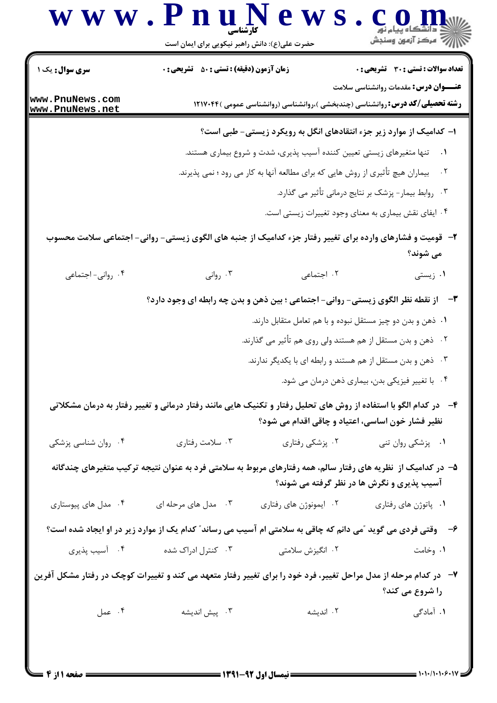## WW.Pnu News.Com

| <b>سری سوال :</b> یک ۱             | <b>زمان آزمون (دقیقه) : تستی : 50 ٪ تشریحی : 0</b>                                                                |                        | <b>تعداد سوالات : تستی : 30 ٪ تشریحی : 0</b>                |
|------------------------------------|-------------------------------------------------------------------------------------------------------------------|------------------------|-------------------------------------------------------------|
|                                    |                                                                                                                   |                        | <b>عنـــوان درس:</b> مقدمات روانشناسی سلامت                 |
| www.PnuNews.com<br>www.PnuNews.net | <b>رشته تحصیلی/کد درس: ر</b> وانشناسی (چندبخشی )،روانشناسی (روانشناسی عمومی )۱۲۱۷۰۴۴                              |                        |                                                             |
|                                    | ا- کدامیک از موارد زیر جزء انتقادهای انگل به رویکرد زیستی- طبی است؟                                               |                        |                                                             |
|                                    | تنها متغیرهای زیستی تعیین کننده آسیب پذیری، شدت و شروع بیماری هستند.                                              |                        |                                                             |
|                                    | بیماران هیچ تأثیری از روش هایی که برای مطالعه آنها به کار می رود ؛ نمی پذیرند.                                    |                        | $\cdot$ $\cdot$ $\cdot$                                     |
|                                    |                                                                                                                   |                        | ۰۳ روابط بیمار- پزشک بر نتایج درمانی تأثیر می گذارد.        |
|                                    |                                                                                                                   |                        | ۰۴ ایفای نقش بیماری به معنای وجود تغییرات زیستی است.        |
|                                    | ۲- قومیت و فشارهای وارده برای تغییر رفتار جزء کدامیک از جنبه های الگوی زیستی- روانی- اجتماعی سلامت محسوب          |                        |                                                             |
|                                    |                                                                                                                   |                        | می شوند؟                                                    |
| ۰۴ روانی- اجتماعی                  | ۰۳ روانی                                                                                                          | ۲. اجتماعی             | ۰۱ زیستی                                                    |
|                                    | <b>۳</b> -     از نقطه نظر الگوی زیستی- روانی- اجتماعی ؛ بین ذهن و بدن چه رابطه ای وجود دارد؟                     |                        |                                                             |
|                                    |                                                                                                                   |                        | ۰۱ ذهن و بدن دو چیز مستقل نبوده و با هم تعامل متقابل دارند. |
|                                    |                                                                                                                   |                        | ۰۲ ذهن و بدن مستقل از هم هستند ولی روی هم تأثیر می گذارند.  |
|                                    |                                                                                                                   |                        | ۰۳ ذهن و بدن مستقل از هم هستند و رابطه ای با یکدیگر ندارند. |
|                                    |                                                                                                                   |                        | ۰۴ با تغییر فیزیکی بدن، بیماری ذهن درمان می شود.            |
|                                    | ۴– در کدام الگو با استفاده از روش های تحلیل رفتار و تکنیک هایی مانند رفتار درمانی و تغییر رفتار به درمان مشکلاتی  |                        |                                                             |
|                                    |                                                                                                                   |                        | نظیر فشار خون اساسی، اعتیاد و چاقی اقدام می شود؟            |
| ۰۴ روان شناسی پزشکی                | ۰۳ سلامت رفتاري                                                                                                   | ۰۲ پزشکی رفتاری        | ٠١ پزشكى روان تنى                                           |
|                                    | ۵– در کدامیک از  نظریه های رفتار سالم، همه رفتارهای مربوط به سلامتی فرد به عنوان نتیجه ترکیب متغیرهای چندگانه     |                        |                                                             |
|                                    |                                                                                                                   |                        | آسیب پذیری و نگرش ها در نظر گرفته می شوند؟                  |
| ۰۴ مدل های پیوستاری                | ۰۳ مدل های مرحله ای                                                                                               | ۰۲ ایمونوژن های رفتاری | ۰۱ پاتوژن های رفتاری                                        |
|                                    | ۶- ۔ وقتی فردی می گوید آمی دانم که چاقی به سلامتی ام آسیب می رساند ؒ کدام یک از موارد زیر در او ایجاد شده است؟    |                        |                                                             |
| ۰۴ آسیب پذیری                      | ۰۳ کنترل ادراک شده                                                                                                | ۰۲ انگیزش سلامتی       | ۰۱ وخامت                                                    |
|                                    | ۷−٪ در کدام مرحله از مدل مراحل تغییر، فرد خود را برای تغییر رفتار متعهد می کند و تغییرات کوچک در رفتار مشکل آفرین |                        |                                                             |
|                                    |                                                                                                                   |                        | را شروع می کند؟                                             |
|                                    | ۰۳ پیش اندیشه است ۴۰ عمل                                                                                          | ۰۲ اندیشه              | ۱. آمادگی                                                   |
|                                    |                                                                                                                   |                        |                                                             |
|                                    |                                                                                                                   |                        |                                                             |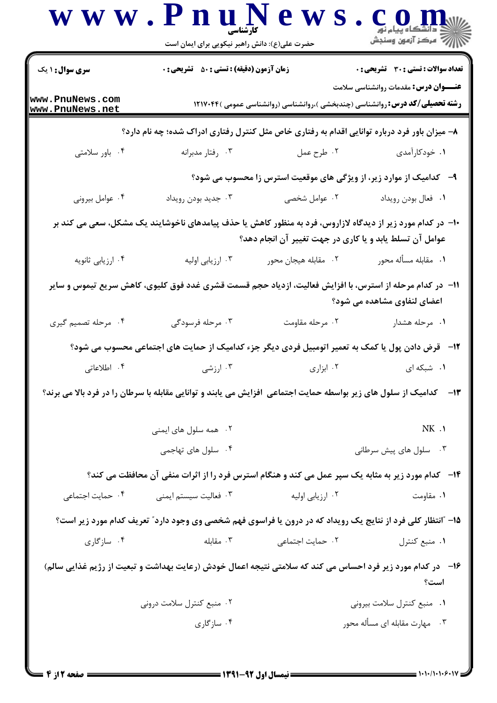|                                    | حضرت علی(ع): دانش راهبر نیکویی برای ایمان است                                                                     |                                                                                      | // " مرکز آزمون وسنجش                        |
|------------------------------------|-------------------------------------------------------------------------------------------------------------------|--------------------------------------------------------------------------------------|----------------------------------------------|
| <b>سری سوال : ۱ یک</b>             | <b>زمان آزمون (دقیقه) : تستی : 80 ٪ تشریحی : 0</b>                                                                |                                                                                      | <b>تعداد سوالات : تستی : 30 ٪ تشریحی : 0</b> |
| www.PnuNews.com<br>www.PnuNews.net |                                                                                                                   | <b>رشته تحصیلی/کد درس: ر</b> وانشناسی (چندبخشی )،روانشناسی (روانشناسی عمومی )۱۲۱۷۰۴۴ | <b>عنـــوان درس:</b> مقدمات روانشناسی سلامت  |
|                                    | ۸– میزان باور فرد درباره توانایی اقدام به رفتاری خاص مثل کنترل رفتاری ادراک شده؛ چه نام دارد؟                     |                                                                                      |                                              |
| ۰۴ باور سلامتی                     | ۰۳ رفتار مدبرانه                                                                                                  | ۰۲ طرح عمل                                                                           | ۰۱ خودکارآمدی                                |
|                                    |                                                                                                                   | ۹- کدامیک از موارد زیر، از ویژگی های موقعیت استرس زا محسوب می شود؟                   |                                              |
| ۰۴ عوامل بيروني                    | ۰۳ جدید بودن رویداد                                                                                               | ۰۲ عوامل شخصی                                                                        | ٠١ فعال بودن رويداد                          |
|                                    | ۱۰– در کدام مورد زیر از دیدگاه لازاروس، فرد به منظور کاهش یا حذف پیامدهای ناخوشایند یک مشکل، سعی می کند بر        | عوامل آن تسلط یابد و یا کاری در جهت تغییر آن انجام دهد؟                              |                                              |
| ۰۴ ارزیابی ثانویه                  | ۰۳ ارزیابی اولیه                                                                                                  | ٠٢ مقابله هيجان محور                                                                 | ٠١ مقابله مسأله محور                         |
|                                    | 11–   در کدام مرحله از استرس، با افزایش فعالیت، ازدیاد حجم قسمت قشری غدد فوق کلیوی، کاهش سریع تیموس و سایر        |                                                                                      | اعضای لنفاوی مشاهده می شود؟                  |
| ۰۴ مرحله تصمیم گیری                | ۰۳ مرحله فرسودگی                                                                                                  | ۰۲ مرحله مقاومت                                                                      | ۰۱ مرحله هشدار                               |
|                                    | ۱۲-۔ قرض دادن پول یا کمک به تعمیر اتومبیل فردی دیگر جزء کدامیک از حمایت های اجتماعی محسوب می شود؟                 |                                                                                      |                                              |
| ۰۴ اطلاعاتی                        | ۰۳ ارزشی                                                                                                          | ۰۲ ابزاری                                                                            | ۰۱ شبکه ای                                   |
|                                    | ۱۳– کدامیک از سلول های زیر بواسطه حمایت اجتماعی افزایش می یابند و توانایی مقابله با سرطان را در فرد بالا می برند؟ |                                                                                      |                                              |
|                                    | ۰۲ همه سلول های ایمنی                                                                                             |                                                                                      |                                              |
|                                    |                                                                                                                   |                                                                                      | NK.1                                         |
|                                    | ۰۴ سلول های تهاجمی                                                                                                |                                                                                      | ۰۳ سلول های پیش سرطانی                       |
|                                    | ۱۴-۔ کدام مورد زیر به مثابه یک سپر عمل می کند و هنگام استرس فرد را از اثرات منفی آن محافظت می کند؟                |                                                                                      |                                              |
| ۰۴ حمایت اجتماعی                   | ۰۳ فعالیت سیستم ایمنی                                                                                             | ۰۲ ارزیابی اولیه                                                                     | ۰۱ مقاومت                                    |
|                                    | ۱۵- آانتظار کلی فرد از نتایج یک رویداد که در درون یا فراسوی فهم شخصی وی وجود دارد" تعریف کدام مورد زیر است؟       |                                                                                      |                                              |
| ۰۴ سازگاری                         |                                                                                                                   | ۰۲ حمایت اجتماعی مقابله . ۳                                                          | ٠١. منبع كنترل                               |
|                                    | ۱۶–۔ در کدام مورد زیر فرد احساس می کند که سلامتی نتیجه اعمال خودش (رعایت بهداشت و تبعیت از رژیم غذایی سالم)       |                                                                                      | است؟                                         |
|                                    | ۰۲ منبع کنترل سلامت درونی                                                                                         |                                                                                      | ٠١ منبع كنترل سلامت بيروني                   |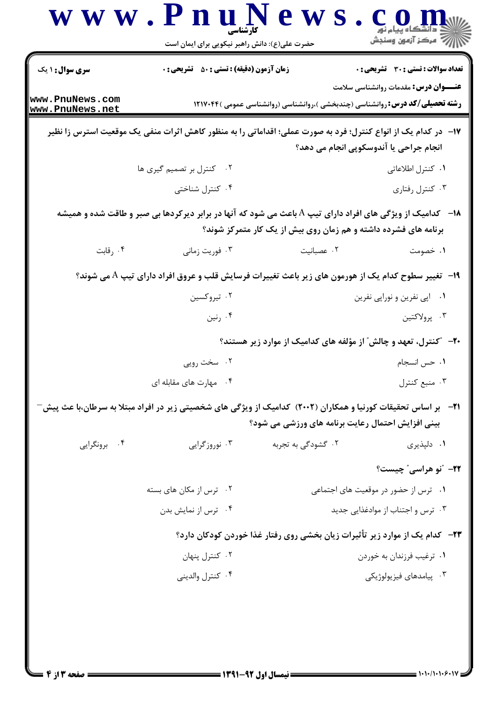|                                           | www.PnuNews<br>حضرت علی(ع): دانش راهبر نیکویی برای ایمان است                                                          |                                                                 | أأزاله مركز آزمون وسنجش                                                                     |
|-------------------------------------------|-----------------------------------------------------------------------------------------------------------------------|-----------------------------------------------------------------|---------------------------------------------------------------------------------------------|
| <b>سری سوال : ۱ یک</b><br>www.PnuNews.com | <b>زمان آزمون (دقیقه) : تستی : 50 ٪ تشریحی : 0</b>                                                                    |                                                                 | <b>تعداد سوالات : تستی : 30 ٪ تشریحی : 0</b><br><b>عنـــوان درس:</b> مقدمات روانشناسی سلامت |
| www.PnuNews.net                           | ۱۷− در کدام یک از انواع کنترل؛ فرد به صورت عملی؛ اقداماتی را به منظور کاهش اثرات منفی یک موقعیت استرس زا نظیر         |                                                                 | <b>رشته تحصیلی/کد درس: ر</b> وانشناسی (چندبخشی )،روانشناسی (روانشناسی عمومی )۱۲۱۷۰۴۴        |
|                                           | ۰۲ کنترل بر تصمیم گیری ها                                                                                             |                                                                 | انجام جراحی یا آندوسکوپی انجام می دهد؟<br>۰۱ کنترل اطلاعاتی                                 |
|                                           | ۰۴ کنترل شناختی                                                                                                       |                                                                 | ۰۳ کنترل رفتاری                                                                             |
|                                           | <b>۱۸</b> - کدامیک از ویژگی های افراد دارای تیپ A باعث می شود که آنها در برابر دیرکردها بی صبر و طاقت شده و همیشه     | برنامه های فشرده داشته و هم زمان روی بیش از یک کار متمرکز شوند؟ |                                                                                             |
| ۰۴ رقابت                                  | ۰۳ فوریت زمانی                                                                                                        | ٠٢ عصبانيت                                                      | ۰۱ خصومت                                                                                    |
|                                           | ۱۹-   تغییر سطوح کدام یک از هورمون های زیر باعث تغییرات فرسایش قلب و عروق افراد دارای تیپ A می شوند؟                  |                                                                 |                                                                                             |
|                                           | ۰۲ تیروکسین                                                                                                           |                                                                 | ۰۱ ابي نفرين و نورابي نفرين                                                                 |
|                                           | ۰۴ رنین                                                                                                               |                                                                 | ۰۳ پرولاکتين                                                                                |
|                                           |                                                                                                                       |                                                                 | +۲- ″کنترل، تعهد و چالش″ از مؤلفه های کدامیک از موارد زیر هستند؟                            |
|                                           | ۰۲ سخت رویی                                                                                                           |                                                                 | ٠١ حس انسجام                                                                                |
|                                           | ۰۴ مهارت های مقابله ای                                                                                                |                                                                 | ۰۳ منبع کنترل                                                                               |
|                                           | <b>ا۲−   بر اساس تحقیقات کورنیا و همکاران (۲۰۰۲) کدامیک از ویژگی های شخصیتی زیر در افراد مبتلا به سرطان،با عث پیش</b> | بینی افزایش احتمال رعایت برنامه های ورزشی می شود؟               |                                                                                             |
| ۰۴ برونگرایی                              | ۰۳ نوروزگرایی                                                                                                         | ۰۲ گشودگی به تجربه                                              | ۰۱ دلپذیری                                                                                  |
|                                           |                                                                                                                       |                                                                 | <b>۲۲</b> - "نو هراسی <sup>"</sup> چیست؟                                                    |
| ۰۲ ترس از مکان های بسته                   |                                                                                                                       | ۰۱ ترس از حضور در موقعیت های اجتماعی                            |                                                                                             |
| ۰۴ ترس از نمایش بدن                       |                                                                                                                       |                                                                 | ۰۳ ترس و اجتناب از موادغذایی جدید                                                           |
|                                           |                                                                                                                       |                                                                 | ۲۳-۔ کدام یک از موارد زیر تأثیرات زیان بخشی روی رفتار غذا خوردن کودکان دارد؟                |
|                                           | ۰۲ کنترل پنهان                                                                                                        |                                                                 | ۰۱ ترغیب فرزندان به خوردن                                                                   |
|                                           | ۰۴ كنترل والديني                                                                                                      |                                                                 | ۰۳ پیامدهای فیزیولوژیکی                                                                     |
|                                           |                                                                                                                       |                                                                 |                                                                                             |